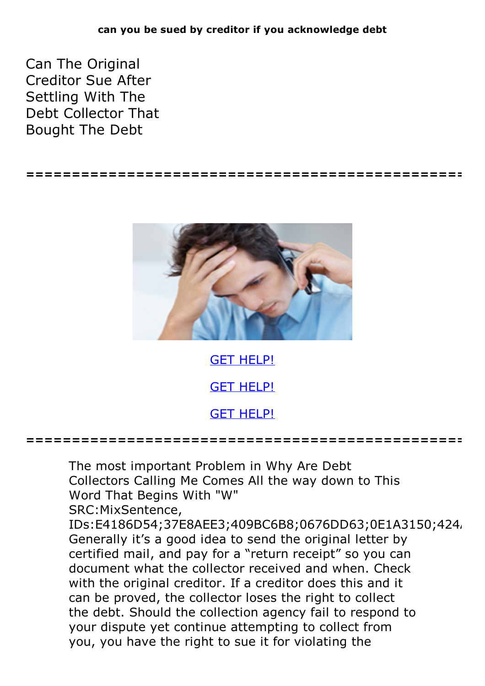Can The Original Creditor Sue After Settling With The Debt Collector That Bought The Debt

**================================================**



GET [HELP!](https://runpdf.xyz/pdf)

GET [HELP!](https://runpdf.xyz/pdf)

GET [HELP!](https://runpdf.xyz/pdf)

**================================================**

The most important Problem in Why Are Debt Collectors Calling Me Comes All the way down to This Word That Begins With "W"<br>SRC:MixSentence,

IDs:E4186D54;37E8AEE3;409BC6B8;0676DD63;0E1A3150;424, Generally it's a good idea to send the original letter by certified mail, and pay for a "return receipt" so you can document what the collector received and when. Check with the original creditor. If a creditor does this and it can be proved, the collector loses the right to collect the debt. Should the collection agency fail to respond to your dispute yet continue attempting to collect from you, you have the right to sue it for violating the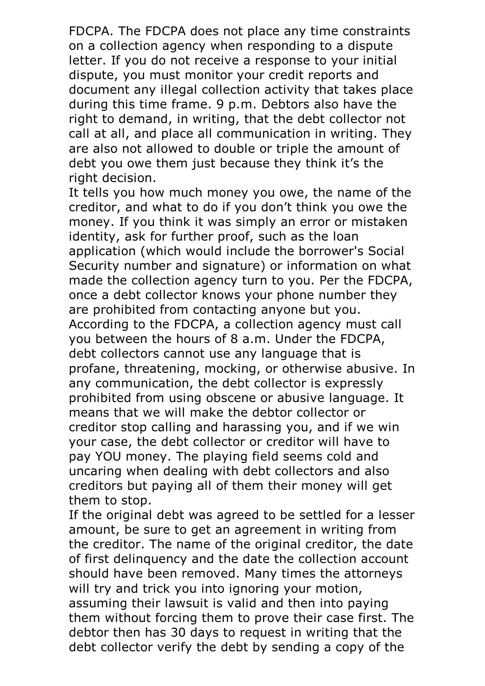FDCPA. The FDCPA does not place any time constraints on a collection agency when responding to a dispute letter. If you do not receive a response to your initial dispute, you must monitor your credit reports and document any illegal collection activity that takes place during this time frame. 9 p.m. Debtors also have the right to demand, in writing, that the debt collector not call at all, and place all communication in writing. They are also not allowed to double or triple the amount of debt you owe them just because they think it's the right decision.

It tells you how much money you owe, the name of the creditor, and what to do if you don't think you owe the money. If you think it was simply an error or mistaken identity, ask for further proof, such as the loan application (which would include the borrower's Social Security number and signature) or information on what made the collection agency turn to you. Per the FDCPA, once a debt collector knows your phone number they are prohibited from contacting anyone but you. According to the FDCPA, <sup>a</sup> collection agency must call you between the hours of 8 a.m. Under the FDCPA, debt collectors cannot use any language that is profane, threatening, mocking, or otherwise abusive. In any communication, the debt collector is expressly prohibited from using obscene or abusive language. It means that we will make the debtor collector or creditor stop calling and harassing you, and if we win your case, the debt collector or creditor will have to pay YOU money. The playing field seems cold and uncaring when dealing with debt collectors and also creditors but paying all of them their money will get them to stop.

If the original debt was agreed to be settled for a lesser amount, be sure to get an agreement in writing from the creditor. The name of the original creditor, the date of first delinquency and the date the collection account should have been removed. Many times the attorneys will try and trick you into ignoring your motion, assuming their lawsuit is valid and then into paying them without forcing them to prove their case first. The debtor then has 30 days to request in writing that the debt collector verify the debt by sending a copy of the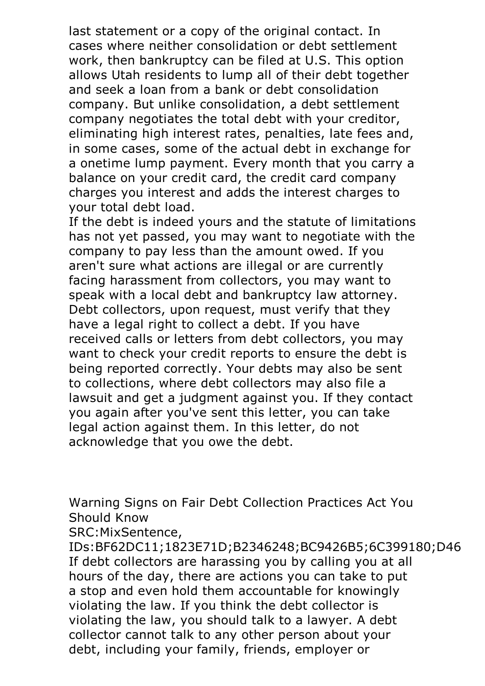last statement or a copy of the original contact. In cases where neither consolidation or debt settlement work, then bankruptcy can be filed at U.S. This option allows Utah residents to lump all of their debt together and seek a loan from a bank or debt consolidation company. But unlike consolidation, a debt settlement company negotiates the total debt with your creditor, eliminating high interest rates, penalties, late fees and, in some cases, some of the actual debt in exchange for a onetime lump payment. Every month that you carry a balance on your credit card, the credit card company charges you interest and adds the interest charges to your total debt load.

If the debt is indeed yours and the statute of limitations has not yet passed, you may want to negotiate with the company to pay less than the amount owed. If you aren't sure what actions are illegal or are currently facing harassment from collectors, you may want to speak with <sup>a</sup> local debt and bankruptcy law attorney. Debt collectors, upon request, must verify that they have a legal right to collect a debt. If you have received calls or letters from debt collectors, you may want to check your credit reports to ensure the debt is being reported correctly. Your debts may also be sent to collections, where debt collectors may also file a lawsuit and get a judgment against you. If they contact you again after you've sent this letter, you can take legal action against them. In this letter, do not acknowledge that you owe the debt.

Warning Signs on Fair Debt Collection Practices Act You Should Know

SRC:MixSentence,

IDs:BF62DC11;1823E71D;B2346248;BC9426B5;6C399180;D46 If debt collectors are harassing you by calling you at all hours of the day, there are actions you can take to put a stop and even hold them accountable for knowingly violating the law. If you think the debt collector is violating the law, you should talk to a lawyer. A debt collector cannot talk to any other person about your debt, including your family, friends, employer or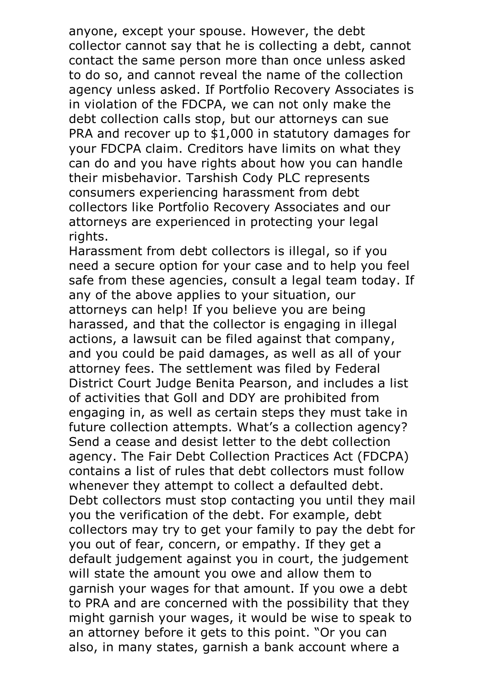anyone, except your spouse. However, the debt collector cannot say that he is collecting a debt, cannot contact the same person more than once unless asked to do so, and cannot reveal the name of the collection agency unless asked. If Portfolio Recovery Associates is in violation of the FDCPA, we can not only make the debt collection calls stop, but our attorneys can sue PRA and recover up to \$1,000 in statutory damages for your FDCPA claim. Creditors have limits on what they can do and you have rights about how you can handle their misbehavior. Tarshish Cody PLC represents consumers experiencing harassment from debt collectors like Portfolio Recovery Associates and our attorneys are experienced in protecting your legal rights.<br>Harassment from debt collectors is illegal, so if you

need a secure option for your case and to help you feel safe from these agencies, consult a legal team today. If any of the above applies to your situation, our attorneys can help! If you believe you are being harassed, and that the collector is engaging in illegal actions, a lawsuit can be filed against that company, and you could be paid damages, as well as all of your attorney fees. The settlement was filed by Federal District Court Judge Benita Pearson, and includes a list of activities that Goll and DDY are prohibited from engaging in, as well as certain steps they must take in future collection attempts. What's a collection agency? Send a cease and desist letter to the debt collection agency. The Fair Debt Collection Practices Act (FDCPA) contains a list of rules that debt collectors must follow<br>whenever they attempt to collect a defaulted debt. Debt collectors must stop contacting you until they mail you the verification of the debt. For example, debt collectors may try to get your family to pay the debt for you out of fear, concern, or empathy. If they get a default judgement against you in court, the judgement will state the amount you owe and allow them to garnish your wages for that amount. If you owe a debt to PRA and are concerned with the possibility that they might garnish your wages, it would be wise to speak to an attorney before it gets to this point. "Or you can also, in many states, garnish a bank account where a